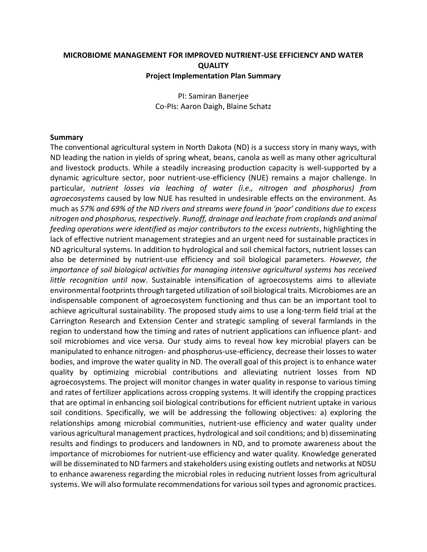## **MICROBIOME MANAGEMENT FOR IMPROVED NUTRIENT-USE EFFICIENCY AND WATER QUALITY Project Implementation Plan Summary**

PI: Samiran Banerjee Co-PIs: Aaron Daigh, Blaine Schatz

#### **Summary**

The conventional agricultural system in North Dakota (ND) is a success story in many ways, with ND leading the nation in yields of spring wheat, beans, canola as well as many other agricultural and livestock products. While a steadily increasing production capacity is well-supported by a dynamic agriculture sector, poor nutrient-use-efficiency (NUE) remains a major challenge. In particular, *nutrient losses via leaching of water (i.e., nitrogen and phosphorus) from agroecosystems* caused by low NUE has resulted in undesirable effects on the environment. As much as *57% and 69% of the ND rivers and streams were found in 'poor' conditions due to excess nitrogen and phosphorus, respectively*. *Runoff, drainage and leachate from croplands and animal feeding operations were identified as major contributors to the excess nutrients*, highlighting the lack of effective nutrient management strategies and an urgent need for sustainable practices in ND agricultural systems. In addition to hydrological and soil chemical factors, nutrient losses can also be determined by nutrient-use efficiency and soil biological parameters. *However, the importance of soil biological activities for managing intensive agricultural systems has received little recognition until now*. Sustainable intensification of agroecosystems aims to alleviate environmental footprints through targeted utilization of soil biological traits. Microbiomes are an indispensable component of agroecosystem functioning and thus can be an important tool to achieve agricultural sustainability. The proposed study aims to use a long-term field trial at the Carrington Research and Extension Center and strategic sampling of several farmlands in the region to understand how the timing and rates of nutrient applications can influence plant- and soil microbiomes and vice versa. Our study aims to reveal how key microbial players can be manipulated to enhance nitrogen- and phosphorus-use-efficiency, decrease their losses to water bodies, and improve the water quality in ND. The overall goal of this project is to enhance water quality by optimizing microbial contributions and alleviating nutrient losses from ND agroecosystems. The project will monitor changes in water quality in response to various timing and rates of fertilizer applications across cropping systems. It will identify the cropping practices that are optimal in enhancing soil biological contributions for efficient nutrient uptake in various soil conditions. Specifically, we will be addressing the following objectives: a) exploring the relationships among microbial communities, nutrient-use efficiency and water quality under various agricultural management practices, hydrological and soil conditions; and b) disseminating results and findings to producers and landowners in ND, and to promote awareness about the importance of microbiomes for nutrient-use efficiency and water quality. Knowledge generated will be disseminated to ND farmers and stakeholders using existing outlets and networks at NDSU to enhance awareness regarding the microbial roles in reducing nutrient losses from agricultural systems. We will also formulate recommendations for various soil types and agronomic practices.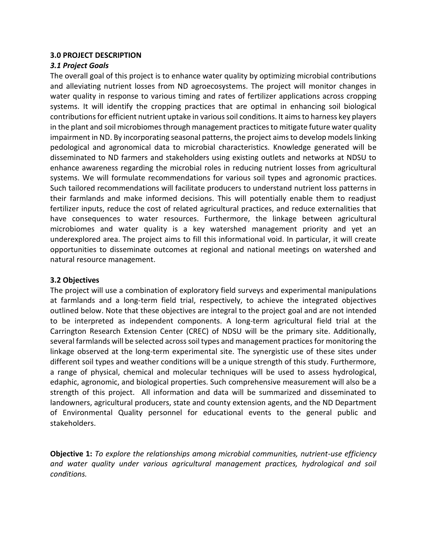## **3.0 PROJECT DESCRIPTION**

## *3.1 Project Goals*

The overall goal of this project is to enhance water quality by optimizing microbial contributions and alleviating nutrient losses from ND agroecosystems. The project will monitor changes in water quality in response to various timing and rates of fertilizer applications across cropping systems. It will identify the cropping practices that are optimal in enhancing soil biological contributions for efficient nutrient uptake in various soil conditions. It aims to harness key players in the plant and soil microbiomes through management practices to mitigate future water quality impairment in ND. By incorporating seasonal patterns, the project aims to develop models linking pedological and agronomical data to microbial characteristics. Knowledge generated will be disseminated to ND farmers and stakeholders using existing outlets and networks at NDSU to enhance awareness regarding the microbial roles in reducing nutrient losses from agricultural systems. We will formulate recommendations for various soil types and agronomic practices. Such tailored recommendations will facilitate producers to understand nutrient loss patterns in their farmlands and make informed decisions. This will potentially enable them to readjust fertilizer inputs, reduce the cost of related agricultural practices, and reduce externalities that have consequences to water resources. Furthermore, the linkage between agricultural microbiomes and water quality is a key watershed management priority and yet an underexplored area. The project aims to fill this informational void. In particular, it will create opportunities to disseminate outcomes at regional and national meetings on watershed and natural resource management.

## **3.2 Objectives**

The project will use a combination of exploratory field surveys and experimental manipulations at farmlands and a long-term field trial, respectively, to achieve the integrated objectives outlined below. Note that these objectives are integral to the project goal and are not intended to be interpreted as independent components. A long-term agricultural field trial at the Carrington Research Extension Center (CREC) of NDSU will be the primary site. Additionally, several farmlands will be selected across soil types and management practices for monitoring the linkage observed at the long-term experimental site. The synergistic use of these sites under different soil types and weather conditions will be a unique strength of this study. Furthermore, a range of physical, chemical and molecular techniques will be used to assess hydrological, edaphic, agronomic, and biological properties. Such comprehensive measurement will also be a strength of this project. All information and data will be summarized and disseminated to landowners, agricultural producers, state and county extension agents, and the ND Department of Environmental Quality personnel for educational events to the general public and stakeholders.

**Objective 1:** *To explore the relationships among microbial communities, nutrient-use efficiency and water quality under various agricultural management practices, hydrological and soil conditions.*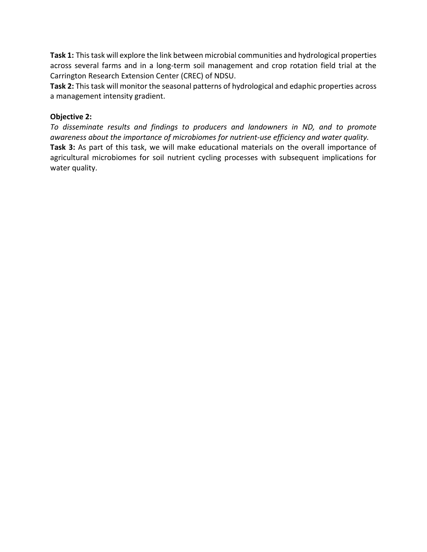**Task 1:** This task will explore the link between microbial communities and hydrological properties across several farms and in a long-term soil management and crop rotation field trial at the Carrington Research Extension Center (CREC) of NDSU.

**Task 2:** This task will monitor the seasonal patterns of hydrological and edaphic properties across a management intensity gradient.

## **Objective 2:**

*To disseminate results and findings to producers and landowners in ND, and to promote awareness about the importance of microbiomes for nutrient-use efficiency and water quality.* **Task 3:** As part of this task, we will make educational materials on the overall importance of agricultural microbiomes for soil nutrient cycling processes with subsequent implications for water quality.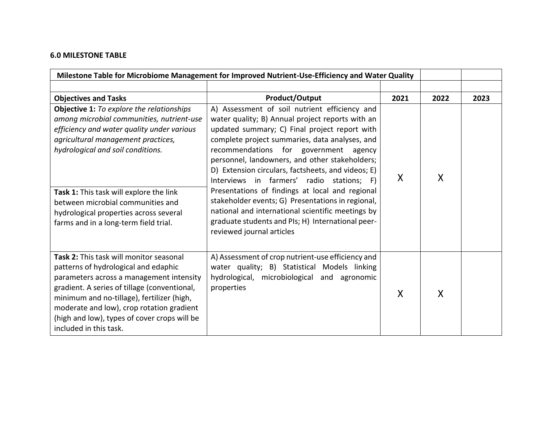## **6.0 MILESTONE TABLE**

| Milestone Table for Microbiome Management for Improved Nutrient-Use-Efficiency and Water Quality                                                                                                                                                                                                                                                                                          |                                                                                                                                                                                                                                                                                                                                                                                                                                                                                                                                                                                                                                                   |      |      |      |
|-------------------------------------------------------------------------------------------------------------------------------------------------------------------------------------------------------------------------------------------------------------------------------------------------------------------------------------------------------------------------------------------|---------------------------------------------------------------------------------------------------------------------------------------------------------------------------------------------------------------------------------------------------------------------------------------------------------------------------------------------------------------------------------------------------------------------------------------------------------------------------------------------------------------------------------------------------------------------------------------------------------------------------------------------------|------|------|------|
|                                                                                                                                                                                                                                                                                                                                                                                           |                                                                                                                                                                                                                                                                                                                                                                                                                                                                                                                                                                                                                                                   |      |      |      |
| <b>Objectives and Tasks</b>                                                                                                                                                                                                                                                                                                                                                               | <b>Product/Output</b>                                                                                                                                                                                                                                                                                                                                                                                                                                                                                                                                                                                                                             | 2021 | 2022 | 2023 |
| <b>Objective 1:</b> To explore the relationships<br>among microbial communities, nutrient-use<br>efficiency and water quality under various<br>agricultural management practices,<br>hydrological and soil conditions.<br>Task 1: This task will explore the link<br>between microbial communities and<br>hydrological properties across several<br>farms and in a long-term field trial. | A) Assessment of soil nutrient efficiency and<br>water quality; B) Annual project reports with an<br>updated summary; C) Final project report with<br>complete project summaries, data analyses, and<br>recommendations for government agency<br>personnel, landowners, and other stakeholders;<br>D) Extension circulars, factsheets, and videos; E)<br>Interviews in farmers' radio stations; F)<br>Presentations of findings at local and regional<br>stakeholder events; G) Presentations in regional,<br>national and international scientific meetings by<br>graduate students and PIs; H) International peer-<br>reviewed journal articles | X    | X    |      |
| Task 2: This task will monitor seasonal<br>patterns of hydrological and edaphic<br>parameters across a management intensity<br>gradient. A series of tillage (conventional,<br>minimum and no-tillage), fertilizer (high,<br>moderate and low), crop rotation gradient<br>(high and low), types of cover crops will be<br>included in this task.                                          | A) Assessment of crop nutrient-use efficiency and<br>water quality; B) Statistical Models linking<br>hydrological, microbiological and agronomic<br>properties                                                                                                                                                                                                                                                                                                                                                                                                                                                                                    | X    | X    |      |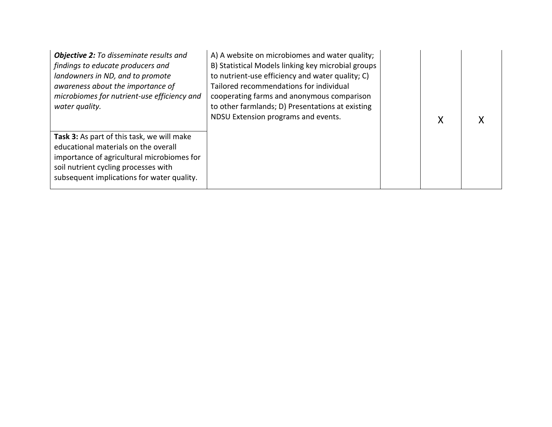| <b>Objective 2:</b> To disseminate results and<br>findings to educate producers and<br>landowners in ND, and to promote<br>awareness about the importance of<br>microbiomes for nutrient-use efficiency and<br>water quality. | A) A website on microbiomes and water quality;<br>B) Statistical Models linking key microbial groups<br>to nutrient-use efficiency and water quality; C)<br>Tailored recommendations for individual<br>cooperating farms and anonymous comparison<br>to other farmlands; D) Presentations at existing<br>NDSU Extension programs and events. | X |  |
|-------------------------------------------------------------------------------------------------------------------------------------------------------------------------------------------------------------------------------|----------------------------------------------------------------------------------------------------------------------------------------------------------------------------------------------------------------------------------------------------------------------------------------------------------------------------------------------|---|--|
| Task 3: As part of this task, we will make<br>educational materials on the overall<br>importance of agricultural microbiomes for<br>soil nutrient cycling processes with<br>subsequent implications for water quality.        |                                                                                                                                                                                                                                                                                                                                              |   |  |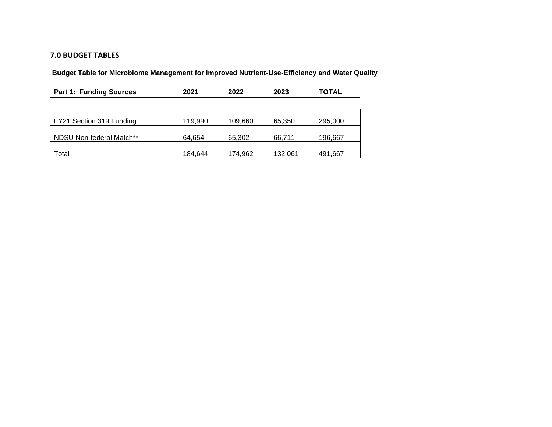## **7.0 BUDGET TABLES**

**Budget Table for Microbiome Management for Improved Nutrient-Use-Efficiency and Water Quality**

| <b>Part 1: Funding Sources</b> | 2021    | 2022    | 2023    | <b>TOTAL</b> |
|--------------------------------|---------|---------|---------|--------------|
|                                |         |         |         |              |
| FY21 Section 319 Funding       | 119,990 | 109,660 | 65,350  | 295,000      |
| NDSU Non-federal Match**       | 64,654  | 65,302  | 66,711  | 196,667      |
| Total                          | 184,644 | 174.962 | 132,061 | 491,667      |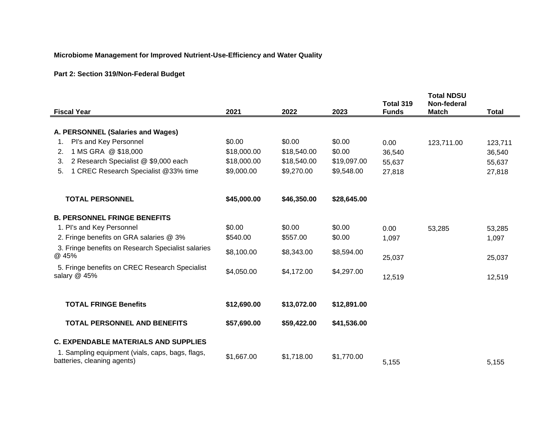## **Microbiome Management for Improved Nutrient-Use-Efficiency and Water Quality**

# **Part 2: Section 319/Non-Federal Budget**

|                                                                                 |             |             |             | Total 319    | <b>Total NDSU</b><br>Non-federal |              |
|---------------------------------------------------------------------------------|-------------|-------------|-------------|--------------|----------------------------------|--------------|
| <b>Fiscal Year</b>                                                              | 2021        | 2022        | 2023        | <b>Funds</b> | <b>Match</b>                     | <b>Total</b> |
| A. PERSONNEL (Salaries and Wages)                                               |             |             |             |              |                                  |              |
| Pl's and Key Personnel<br>1.                                                    | \$0.00      | \$0.00      | \$0.00      | 0.00         | 123,711.00                       | 123,711      |
| 1 MS GRA @ \$18,000<br>2.                                                       | \$18,000.00 | \$18,540.00 | \$0.00      | 36,540       |                                  | 36,540       |
| 2 Research Specialist @ \$9,000 each<br>3.                                      | \$18,000.00 | \$18,540.00 | \$19,097.00 | 55,637       |                                  | 55,637       |
| 1 CREC Research Specialist @33% time<br>5.                                      | \$9,000.00  | \$9,270.00  | \$9,548.00  | 27,818       |                                  | 27,818       |
| <b>TOTAL PERSONNEL</b>                                                          | \$45,000.00 | \$46,350.00 | \$28,645.00 |              |                                  |              |
| <b>B. PERSONNEL FRINGE BENEFITS</b>                                             |             |             |             |              |                                  |              |
| 1. PI's and Key Personnel                                                       | \$0.00      | \$0.00      | \$0.00      | 0.00         | 53,285                           | 53,285       |
| 2. Fringe benefits on GRA salaries @ 3%                                         | \$540.00    | \$557.00    | \$0.00      | 1,097        |                                  | 1,097        |
| 3. Fringe benefits on Research Specialist salaries<br>@ 45%                     | \$8,100.00  | \$8,343.00  | \$8,594.00  | 25,037       |                                  | 25,037       |
| 5. Fringe benefits on CREC Research Specialist<br>salary @ 45%                  | \$4,050.00  | \$4,172.00  | \$4,297.00  | 12,519       |                                  | 12,519       |
| <b>TOTAL FRINGE Benefits</b>                                                    | \$12,690.00 | \$13,072.00 | \$12,891.00 |              |                                  |              |
| <b>TOTAL PERSONNEL AND BENEFITS</b>                                             | \$57,690.00 | \$59,422.00 | \$41,536.00 |              |                                  |              |
| <b>C. EXPENDABLE MATERIALS AND SUPPLIES</b>                                     |             |             |             |              |                                  |              |
| 1. Sampling equipment (vials, caps, bags, flags,<br>batteries, cleaning agents) | \$1,667.00  | \$1,718.00  | \$1,770.00  | 5,155        |                                  | 5,155        |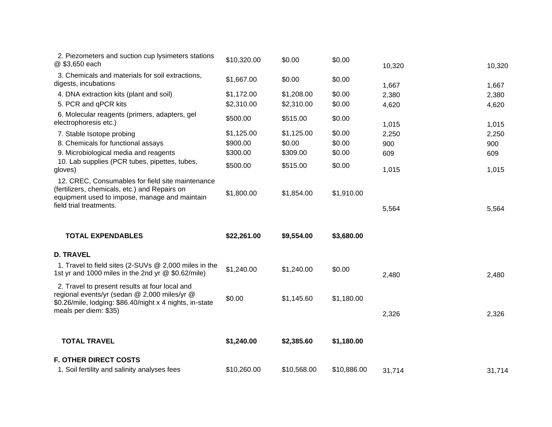| 2. Piezometers and suction cup lysimeters stations<br>@ \$3,650 each                                                                                                                | \$10,320.00                        | \$0.00                           | \$0.00                     | 10,320              | 10,320              |
|-------------------------------------------------------------------------------------------------------------------------------------------------------------------------------------|------------------------------------|----------------------------------|----------------------------|---------------------|---------------------|
| 3. Chemicals and materials for soil extractions,<br>digests, incubations                                                                                                            | \$1,667.00                         | \$0.00                           | \$0.00                     | 1,667               | 1,667               |
| 4. DNA extraction kits (plant and soil)<br>5. PCR and qPCR kits                                                                                                                     | \$1,172.00<br>\$2,310.00           | \$1,208.00<br>\$2,310.00         | \$0.00<br>\$0.00           | 2,380<br>4,620      | 2,380<br>4,620      |
| 6. Molecular reagents (primers, adapters, gel<br>electrophoresis etc.)                                                                                                              | \$500.00                           | \$515.00                         | \$0.00                     | 1,015               | 1,015               |
| 7. Stable Isotope probing<br>8. Chemicals for functional assays<br>9. Microbiological media and reagents                                                                            | \$1,125.00<br>\$900.00<br>\$300.00 | \$1,125.00<br>\$0.00<br>\$309.00 | \$0.00<br>\$0.00<br>\$0.00 | 2,250<br>900<br>609 | 2,250<br>900<br>609 |
| 10. Lab supplies (PCR tubes, pipettes, tubes,<br>gloves)                                                                                                                            | \$500.00                           | \$515.00                         | \$0.00                     | 1,015               | 1,015               |
| 12. CREC, Consumables for field site maintenance<br>(fertilizers, chemicals, etc.) and Repairs on<br>equipment used to impose, manage and maintain<br>field trial treatments.       | \$1,800.00                         | \$1,854.00                       | \$1,910.00                 | 5,564               | 5,564               |
| <b>TOTAL EXPENDABLES</b>                                                                                                                                                            | \$22,261.00                        | \$9,554.00                       | \$3,680.00                 |                     |                     |
| <b>D. TRAVEL</b>                                                                                                                                                                    |                                    |                                  |                            |                     |                     |
| 1. Travel to field sites (2-SUVs @ 2,000 miles in the<br>1st yr and 1000 miles in the 2nd yr @ \$0.62/mile)                                                                         | \$1,240.00                         | \$1,240.00                       | \$0.00                     | 2,480               | 2,480               |
| 2. Travel to present results at four local and<br>regional events/yr (sedan @ 2,000 miles/yr @<br>\$0.26/mile, lodging: \$86.40/night x 4 nights, in-state<br>meals per diem: \$35) | \$0.00                             | \$1,145.60                       | \$1,180.00                 | 2,326               | 2,326               |
|                                                                                                                                                                                     |                                    |                                  |                            |                     |                     |
| <b>TOTAL TRAVEL</b>                                                                                                                                                                 | \$1,240.00                         | \$2,385.60                       | \$1,180.00                 |                     |                     |
| <b>F. OTHER DIRECT COSTS</b>                                                                                                                                                        |                                    |                                  |                            |                     |                     |
| 1. Soil fertility and salinity analyses fees                                                                                                                                        | \$10,260.00                        | \$10,568.00                      | \$10,886.00                | 31,714              | 31,714              |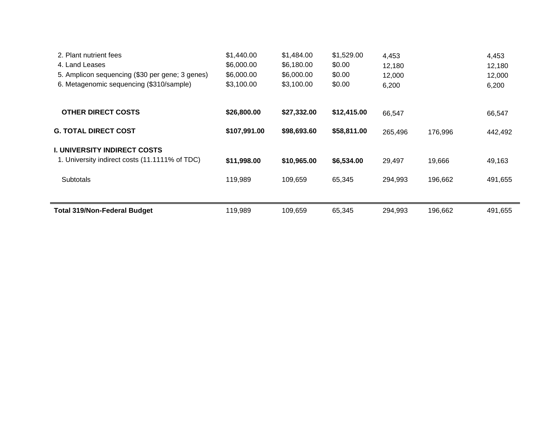| 2. Plant nutrient fees                          | \$1,440.00   | \$1,484.00  | \$1,529.00  | 4,453   |         | 4,453   |
|-------------------------------------------------|--------------|-------------|-------------|---------|---------|---------|
| 4. Land Leases                                  | \$6,000.00   | \$6,180.00  | \$0.00      | 12,180  |         | 12,180  |
| 5. Amplicon sequencing (\$30 per gene; 3 genes) | \$6,000.00   | \$6,000.00  | \$0.00      | 12,000  |         | 12,000  |
| 6. Metagenomic sequencing (\$310/sample)        | \$3,100.00   | \$3,100.00  | \$0.00      | 6,200   |         | 6,200   |
| <b>OTHER DIRECT COSTS</b>                       | \$26,800.00  | \$27,332.00 | \$12,415.00 | 66,547  |         | 66,547  |
| <b>G. TOTAL DIRECT COST</b>                     | \$107,991.00 | \$98,693.60 | \$58,811.00 | 265,496 | 176,996 | 442,492 |
| <b>I. UNIVERSITY INDIRECT COSTS</b>             |              |             |             |         |         |         |
| 1. University indirect costs (11.1111% of TDC)  | \$11,998.00  | \$10,965.00 | \$6,534.00  | 29,497  | 19,666  | 49,163  |
| <b>Subtotals</b>                                | 119,989      | 109,659     | 65,345      | 294,993 | 196,662 | 491,655 |
|                                                 |              |             |             |         |         |         |
| <b>Total 319/Non-Federal Budget</b>             | 119,989      | 109,659     | 65,345      | 294.993 | 196,662 | 491,655 |